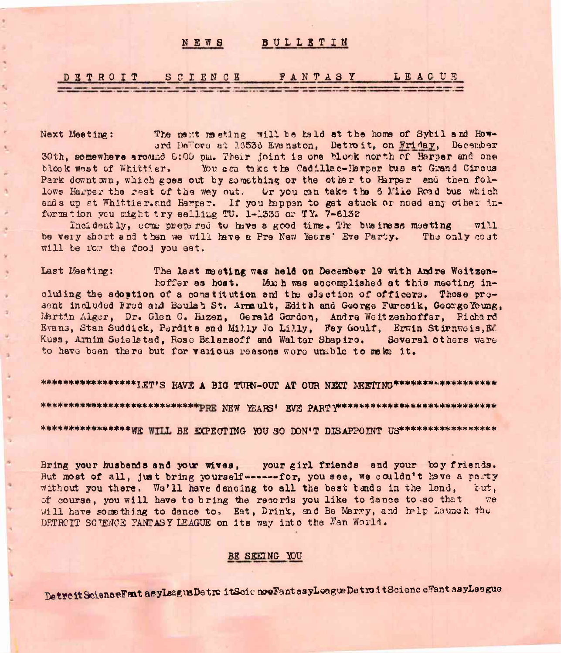### NEWS BULLETIN

### SCIENCE FANTASY LEAGUE DETROIT

 $\mathcal{R}_i$ 

 $\epsilon$ 

A,

b.

The next meeting will be hald at the home of Sybil and How-Next Meeting: ard DeTore at 16536 Evanston. Detroit, on Friday, December 30th, somewhere around 8:00 pm. Their joint is one block north of Harper and one blook west of Whittier. You can take the Cadillac-Herper bus at Grand Circus Park downt wn, which goes out by something or the other to Harper and then follows Harper the rest of the way out. Or you can take the 6 Mile Road bus which ends up at Whittier.and Harper. If you happen to get stuck or need any other information you might try salling TU. 1-1336 or TY. 7-6132

Incidently, comme premired to have a good time. The business meeting  $W1.1$ be very short and then we will have a Pre New Years' Eve Party. The only cost will be for the fool you eat.

Last Meeting: The last meeting was held on December 19 with Andre Weitzenhoffer as host. Much was accomplished at this meeting including the adoption of a constitution and the election of officers. Those present included Fred and Baulat St. Armault, Edith and George Furesik, George Young, Martin Alger, Dr. Glen C. Hazen, Gerald Gordon, Andre Weitzenhoffer, Richard Evans, Stan Suddick, Perdite and Milly Jo Lilly, Fay Goulf, Erwin Stirnweis, Rd Kuss, Arnim Seielstad, Rose Balansoff and Walter Shapiro. Several others were to have been there but for vanious reasons were unable to make it.

\*\*\*\*\*\*\*\*\*\*\*\*\*\*\*\*\*\*IET'S HAVE A BIG TURN-OUT AT OUR NEXT MEETING\*\*\*\*\*\*\*\*\*\*\*\*\*\*\*\*\*\* \*\*\*\*\*\*\*\*\*\*\*\*\*\*\*\*\* WILL BE EXPECTING YOU SO DON'T DISAPPOINT US\*\*\*\*\*\*\*\*\*\*\*\*\*\*\*\*\*\*

Bring your husbands and your wives, your girl friends and your boy friends. But most of all, just bring yourself-------for, you see, we couldn't have a party without you there. We'll have dancing to all the best bands in the lond, but, of course, you will have to bring the records you like to dance to so that we will have something to dance to. Eat, Drink, and Be Merry, and help Launch the DETROIT SCIENCE FANTASY LEAGUE on its way into the Fan World.

## BE SEEING YOU

Detroit ScienceFent asyLeagueDetroitSoic noeFant asyLeagueDetroitScienceFant asyLeague